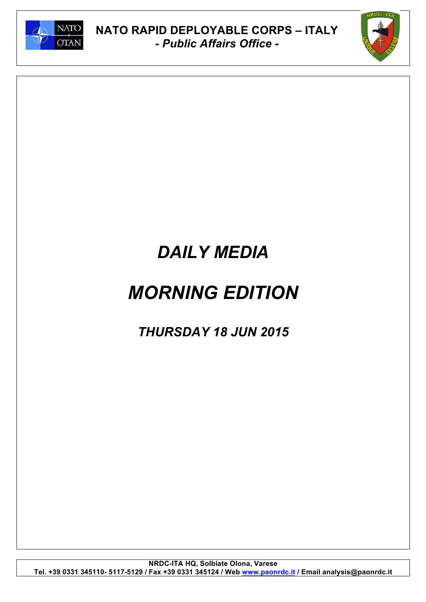



# *DAILY MEDIA*

# *MORNING EDITION*

*THURSDAY 18 JUN 2015*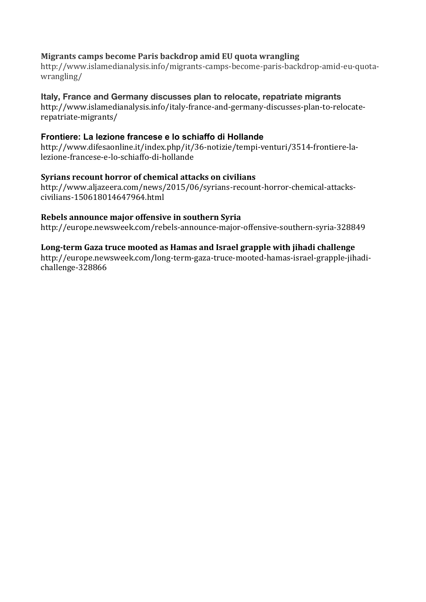### **Migrants)camps)become)Paris)backdrop)amid)EU quota)wrangling**

http://www.islamedianalysis.info/migrants-camps-become-paris-backdrop-amid-eu-quotawrangling/

#### **Italy, France and Germany discusses plan to relocate, repatriate migrants**

http://www.islamedianalysis.info/italy-france-and-germany-discusses-plan-to-relocaterepatriate-migrants/

#### **Frontiere: La lezione francese e lo schiaffo di Hollande**

http://www.difesaonline.it/index.php/it/36-notizie/tempi-venturi/3514-frontiere-lalezione-francese-e-lo-schiaffo-di-hollande

#### **Syrians recount horror of chemical attacks on civilians**

http://www.aljazeera.com/news/2015/06/syrians-recount-horror-chemical-attackscivilians5150618014647964.html

#### **Rebels)announce)major)offensive)in)southern Syria**

http://europe.newsweek.com/rebels-announce-major-offensive-southern-syria-328849

### Long-term Gaza truce mooted as Hamas and Israel grapple with jihadi challenge

http://europe.newsweek.com/long-term-gaza-truce-mooted-hamas-israel-grapple-jihadichallenge-328866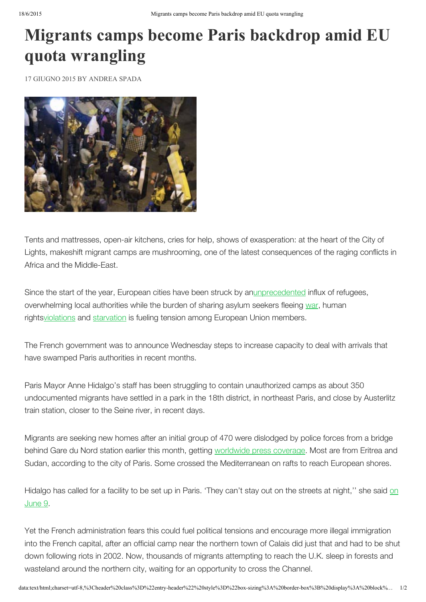# **Migrants camps become Paris backdrop amid EU quota wrangling**

17 GIUGNO 2015 BY [ANDREA SPADA](http://www.islamedianalysis.info/author/andrea-spada/)



Tents and mattresses, open-air kitchens, cries for help, shows of exasperation: at the heart of the City of Lights, makeshift migrant camps are mushrooming, one of the latest consequences of the raging conflicts in Africa and the Middle-East.

Since the start of the year, European cities have been struck by a[nunprecedented](http://www.bloomberg.com/news/articles/2015-05-13/italy-is-headed-for-record-high-migrant-boat-arrivals-this-year) influx of refugees, overwhelming local authorities while the burden of sharing asylum seekers fleeing [war,](http://www.bloomberg.com/news/articles/2015-05-21/mali-wants-regional-military-force-as-militant-violence-surges) human rights[violations](http://www.bloomberg.com/news/articles/2015-06-10/un-report-accuses-eritrea-govt-of-human-rights-violations) and [starvation](http://www.bloomberg.com/news/articles/2015-06-15/sudan-s-al-bashir-left-s-africa-as-court-considered-his-arrest) is fueling tension among European Union members.

The French government was to announce Wednesday steps to increase capacity to deal with arrivals that have swamped Paris authorities in recent months.

Paris Mayor Anne Hidalgo's staff has been struggling to contain unauthorized camps as about 350 undocumented migrants have settled in a park in the 18th district, in northeast Paris, and close by Austerlitz train station, closer to the Seine river, in recent days.

Migrants are seeking new homes after an initial group of 470 were dislodged by police forces from a bridge behind Gare du Nord station earlier this month, getting [worldwide press coverage.](http://www.lemonde.fr/immigration-et-diversite/article/2015/06/02/le-campement-de-migrants-de-la-chapelle-evacue-par-la-police_4645361_1654200.html) Most are from Eritrea and Sudan, according to the city of Paris. Some crossed the Mediterranean on rafts to reach European shores.

[Hidalgo has called for a facility to be set up in Paris. 'They can't stay out on the streets at night,'' she said on](http://www.bfmtv.com/politique/hidalgo-les-migrants-ne-peuvent-pas-dormir-dehors-893460.html) June 9.

Yet the French administration fears this could fuel political tensions and encourage more illegal immigration into the French capital, after an official camp near the northern town of Calais did just that and had to be shut down following riots in 2002. Now, thousands of migrants attempting to reach the U.K. sleep in forests and wasteland around the northern city, waiting for an opportunity to cross the Channel.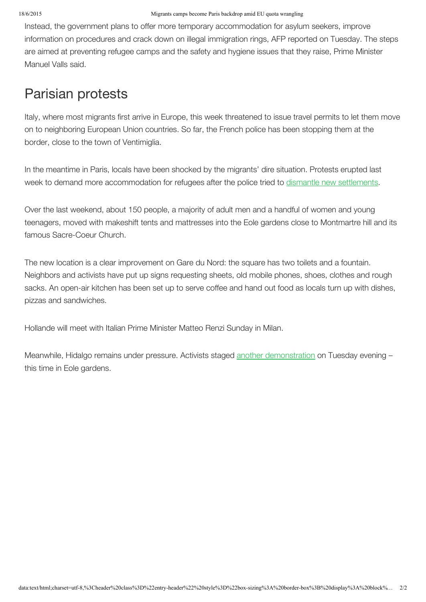Instead, the government plans to offer more temporary accommodation for asylum seekers, improve information on procedures and crack down on illegal immigration rings, AFP reported on Tuesday. The steps are aimed at preventing refugee camps and the safety and hygiene issues that they raise, Prime Minister Manuel Valls said.

## Parisian protests

Italy, where most migrants first arrive in Europe, this week threatened to issue travel permits to let them move on to neighboring European Union countries. So far, the French police has been stopping them at the border, close to the town of Ventimiglia.

In the meantime in Paris, locals have been shocked by the migrants' dire situation. Protests erupted last week to demand more accommodation for refugees after the police tried to [dismantle new settlements.](http://www.20minutes.fr/paris/1626319-20150608-paris-nouvelles-expulsions-migrants-halle-pajol-fois-ci)

Over the last weekend, about 150 people, a majority of adult men and a handful of women and young teenagers, moved with makeshift tents and mattresses into the Eole gardens close to Montmartre hill and its famous Sacre-Coeur Church.

The new location is a clear improvement on Gare du Nord: the square has two toilets and a fountain. Neighbors and activists have put up signs requesting sheets, old mobile phones, shoes, clothes and rough sacks. An open-air kitchen has been set up to serve coffee and hand out food as locals turn up with dishes, pizzas and sandwiches.

Hollande will meet with Italian Prime Minister Matteo Renzi Sunday in Milan.

Meanwhile, Hidalgo remains under pressure. Activists staged [another demonstration](http://www.humanite.fr/refugies-manifestation-unitaire-de-soutien-mardi-16-juin-paris-576906) on Tuesday evening this time in Eole gardens.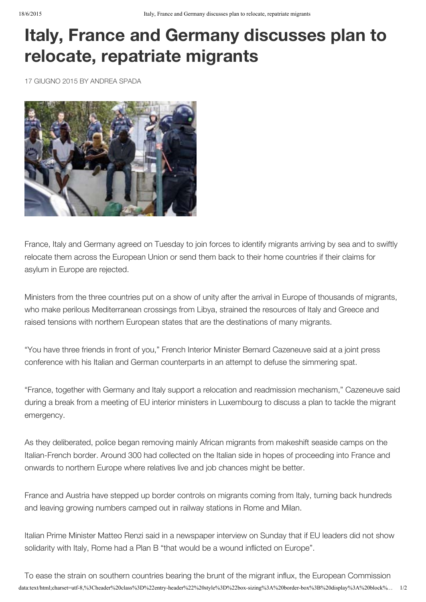# **Italy, France and Germany discusses plan to relocate, repatriate migrants**

17 GIUGNO 2015 BY [ANDREA SPADA](http://www.islamedianalysis.info/author/andrea-spada/)



France, Italy and Germany agreed on Tuesday to join forces to identify migrants arriving by sea and to swiftly relocate them across the European Union or send them back to their home countries if their claims for asylum in Europe are rejected.

Ministers from the three countries put on a show of unity after the arrival in Europe of thousands of migrants, who make perilous Mediterranean crossings from Libya, strained the resources of Italy and Greece and raised tensions with northern European states that are the destinations of many migrants.

"You have three friends in front of you," French Interior Minister Bernard Cazeneuve said at a joint press conference with his Italian and German counterparts in an attempt to defuse the simmering spat.

"France, together with Germany and Italy support a relocation and readmission mechanism," Cazeneuve said during a break from a meeting of EU interior ministers in Luxembourg to discuss a plan to tackle the migrant emergency.

As they deliberated, police began removing mainly African migrants from makeshift seaside camps on the Italian-French border. Around 300 had collected on the Italian side in hopes of proceeding into France and onwards to northern Europe where relatives live and job chances might be better.

France and Austria have stepped up border controls on migrants coming from Italy, turning back hundreds and leaving growing numbers camped out in railway stations in Rome and Milan.

Italian Prime Minister Matteo Renzi said in a newspaper interview on Sunday that if EU leaders did not show solidarity with Italy, Rome had a Plan B "that would be a wound inflicted on Europe".

data:text/html;charset=utf-8,%3Cheader%20class%3D%22entry-header%22%20style%3D%22box-sizing%3A%20border-box%3B%20display%3A%20block%… 1/2 To ease the strain on southern countries bearing the brunt of the migrant influx, the European Commission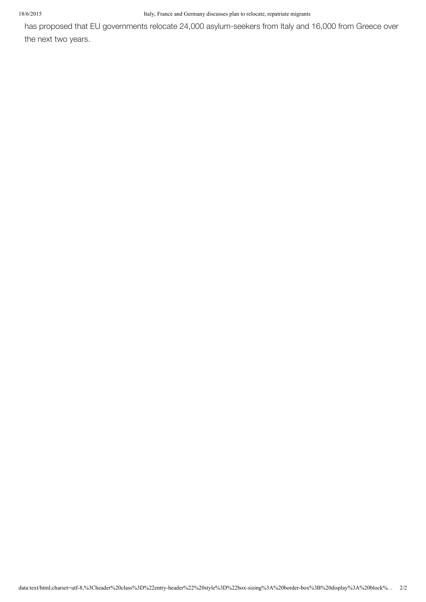18/6/2015 Italy, France and Germany discusses plan to relocate, repatriate migrants

has proposed that EU governments relocate 24,000 asylum-seekers from Italy and 16,000 from Greece over the next two years.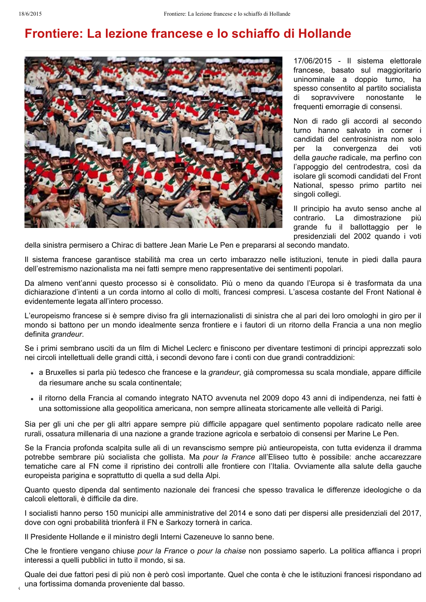### **[Frontiere: La lezione francese e lo schiaffo di Hollande](http://www.difesaonline.it/index.php/it/36-notizie/tempi-venturi/3514-frontiere-la-lezione-francese-e-lo-schiaffo-di-hollande)**



17/06/2015 - Il sistema elettorale francese, basato sul maggioritario uninominale a doppio turno, ha spesso consentito al partito socialista di sopravvivere nonostante le frequenti emorragie di consensi.

Non di rado gli accordi al secondo turno hanno salvato in corner i candidati del centrosinistra non solo per la convergenza dei voti della *gauche* radicale, ma perfino con l'appoggio del centrodestra, così da isolare gli scomodi candidati del Front National, spesso primo partito nei singoli collegi.

Il principio ha avuto senso anche al contrario. La dimostrazione più grande fu il ballottaggio per le presidenziali del 2002 quando i voti

della sinistra permisero a Chirac di battere Jean Marie Le Pen e prepararsi al secondo mandato.

Il sistema francese garantisce stabilità ma crea un certo imbarazzo nelle istituzioni, tenute in piedi dalla paura dell'estremismo nazionalista ma nei fatti sempre meno rappresentative dei sentimenti popolari.

Da almeno vent'anni questo processo si è consolidato. Più o meno da quando l'Europa si è trasformata da una dichiarazione d'intenti a un corda intorno al collo di molti, francesi compresi. L'ascesa costante del Front National è evidentemente legata all'intero processo.

L'europeismo francese si è sempre diviso fra gli internazionalisti di sinistra che al pari dei loro omologhi in giro per il mondo si battono per un mondo idealmente senza frontiere e i fautori di un ritorno della Francia a una non meglio definita *grandeur*.

Se i primi sembrano usciti da un film di Michel Leclerc e finiscono per diventare testimoni di principi apprezzati solo nei circoli intellettuali delle grandi città, i secondi devono fare i conti con due grandi contraddizioni:

- a Bruxelles si parla più tedesco che francese e la *grandeur*, già compromessa su scala mondiale, appare difficile da riesumare anche su scala continentale;
- il ritorno della Francia al comando integrato NATO avvenuta nel 2009 dopo 43 anni di indipendenza, nei fatti è una sottomissione alla geopolitica americana, non sempre allineata storicamente alle velleità di Parigi.

Sia per gli uni che per gli altri appare sempre più difficile appagare quel sentimento popolare radicato nelle aree rurali, ossatura millenaria di una nazione a grande trazione agricola e serbatoio di consensi per Marine Le Pen.

Se la Francia profonda scalpita sulle ali di un revanscismo sempre più antieuropeista, con tutta evidenza il dramma potrebbe sembrare più socialista che gollista. Ma *pour la France* all'Eliseo tutto è possibile: anche accarezzare tematiche care al FN come il ripristino dei controlli alle frontiere con l'Italia. Ovviamente alla salute della gauche europeista parigina e soprattutto di quella a sud della Alpi.

Quanto questo dipenda dal sentimento nazionale dei francesi che spesso travalica le differenze ideologiche o da calcoli elettorali, è difficile da dire.

I socialisti hanno perso 150 municipi alle amministrative del 2014 e sono dati per dispersi alle presidenziali del 2017, dove con ogni probabilità trionferà il FN e Sarkozy tornerà in carica.

Il Presidente Hollande e il ministro degli Interni Cazeneuve lo sanno bene.

Che le frontiere vengano chiuse *pour la France* o *pour la chaise* non possiamo saperlo. La politica affianca i propri interessi a quelli pubblici in tutto il mondo, si sa.

 $\frac{1}{\epsilon}$  una fortissima domanda proveniente dal basso. Quale dei due fattori pesi di più non è però così importante. Quel che conta è che le istituzioni francesi rispondano ad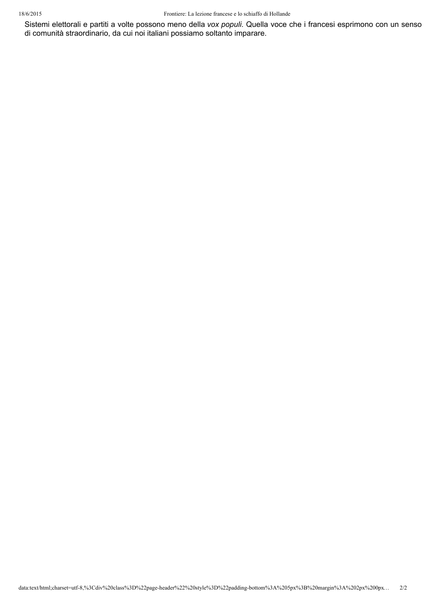Sistemi elettorali e partiti a volte possono meno della *vox populi*. Quella voce che i francesi esprimono con un senso di comunità straordinario, da cui noi italiani possiamo soltanto imparare.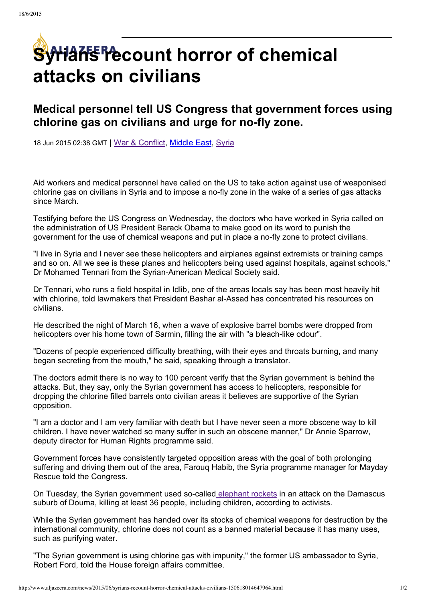# **Syrians recount horror of chemical attacks on civilians**

### **Medical personnel tell US Congress that government forces using chlorine gas on civilians and urge for nofly zone.**

18 Jun 2015 02:38 GMT | War & [Conflict,](http://www.aljazeera.com/topics/categories/war-conflict.html) [Middle](http://www.aljazeera.com/topics/regions/middleeast.html) East, [Syria](http://www.aljazeera.com/topics/country/syria.html)

Aid workers and medical personnel have called on the US to take action against use of weaponised chlorine gas on civilians in Syria and to impose a no-fly zone in the wake of a series of gas attacks since March.

Testifying before the US Congress on Wednesday, the doctors who have worked in Syria called on the administration of US President Barack Obama to make good on its word to punish the government for the use of chemical weapons and put in place a no-fly zone to protect civilians.

"I live in Syria and I never see these helicopters and airplanes against extremists or training camps and so on. All we see is these planes and helicopters being used against hospitals, against schools," Dr Mohamed Tennari from the Syrian-American Medical Society said.

Dr Tennari, who runs a field hospital in Idlib, one of the areas locals say has been most heavily hit with chlorine, told lawmakers that President Bashar al-Assad has concentrated his resources on civilians.

He described the night of March 16, when a wave of explosive barrel bombs were dropped from helicopters over his home town of Sarmin, filling the air with "a bleach-like odour".

"Dozens of people experienced difficulty breathing, with their eyes and throats burning, and many began secreting from the mouth," he said, speaking through a translator.

The doctors admit there is no way to 100 percent verify that the Syrian government is behind the attacks. But, they say, only the Syrian government has access to helicopters, responsible for dropping the chlorine filled barrels onto civilian areas it believes are supportive of the Syrian opposition.

"I am a doctor and I am very familiar with death but I have never seen a more obscene way to kill children. I have never watched so many suffer in such an obscene manner," Dr Annie Sparrow, deputy director for Human Rights programme said.

Government forces have consistently targeted opposition areas with the goal of both prolonging suffering and driving them out of the area, Farouq Habib, the Syria programme manager for Mayday Rescue told the Congress.

On Tuesday, the Syrian government used so-called [elephant](http://www.aljazeera.com/news/2015/06/syria-douma-elephant-rockets-150617011324100.html) rockets in an attack on the Damascus suburb of Douma, killing at least 36 people, including children, according to activists.

While the Syrian government has handed over its stocks of chemical weapons for destruction by the international community, chlorine does not count as a banned material because it has many uses, such as purifying water.

"The Syrian government is using chlorine gas with impunity," the former US ambassador to Syria, Robert Ford, told the House foreign affairs committee.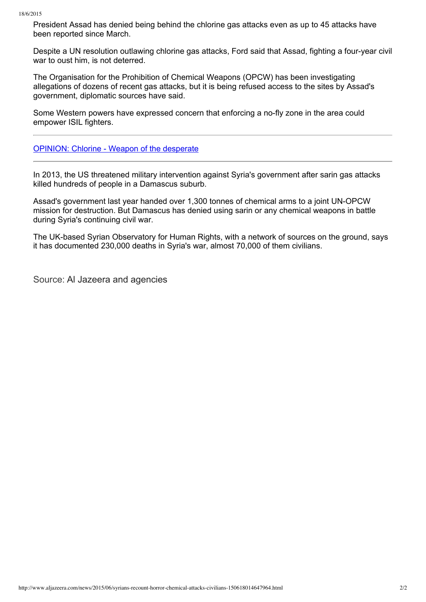President Assad has denied being behind the chlorine gas attacks even as up to 45 attacks have been reported since March.

Despite a UN resolution outlawing chlorine gas attacks, Ford said that Assad, fighting a four-vear civil war to oust him, is not deterred.

The Organisation for the Prohibition of Chemical Weapons (OPCW) has been investigating allegations of dozens of recent gas attacks, but it is being refused access to the sites by Assad's government, diplomatic sources have said.

Some Western powers have expressed concern that enforcing a no-fly zone in the area could empower ISIL fighters.

[OPINION:](http://www.aljazeera.com/indepth/opinion/2015/05/chlorine-weapon-desperate-syria-assad-150504071448804.html) Chlorine - Weapon of the desperate

In 2013, the US threatened military intervention against Syria's government after sarin gas attacks killed hundreds of people in a Damascus suburb.

Assad's government last year handed over 1,300 tonnes of chemical arms to a joint UN-OPCW mission for destruction. But Damascus has denied using sarin or any chemical weapons in battle during Syria's continuing civil war.

The UK-based Syrian Observatory for Human Rights, with a network of sources on the ground, says it has documented 230,000 deaths in Syria's war, almost 70,000 of them civilians.

Source: Al Jazeera and agencies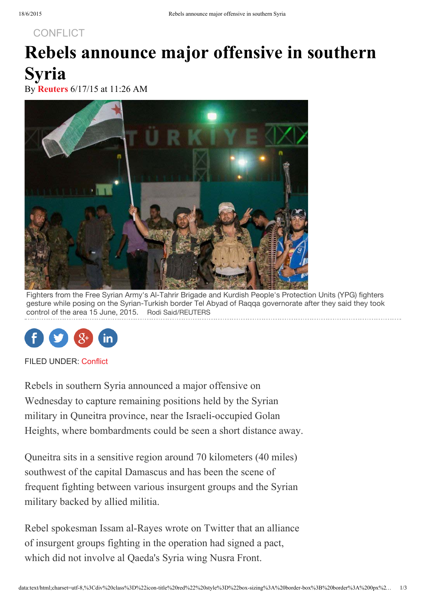### CONFLICT

# **Rebels announce major offensive in southern Syria**

By **[Reuters](http://europe.newsweek.com/authors/reuters)** 6/17/15 at 11:26 AM



Fighters from the Free Syrian Army's Al-Tahrir Brigade and Kurdish People's Protection Units (YPG) fighters gesture while posing on the Syrian-Turkish border Tel Abyad of Raqqa governorate after they said they took control of the area 15 June, 2015. Rodi Said/REUTERS



#### FILED UNDER: [Conflict](http://europe.newsweek.com/conflict)

Rebels in southern Syria announced a major offensive on Wednesday to capture remaining positions held by the Syrian military in Quneitra province, near the Israeli-occupied Golan Heights, where bombardments could be seen a short distance away.

Quneitra sits in a sensitive region around 70 kilometers (40 miles) southwest of the capital Damascus and has been the scene of frequent fighting between various insurgent groups and the Syrian military backed by allied militia.

Rebel spokesman Issam al-Rayes wrote on Twitter that an alliance of insurgent groups fighting in the operation had signed a pact, which did not involve al Qaeda's Syria wing Nusra Front.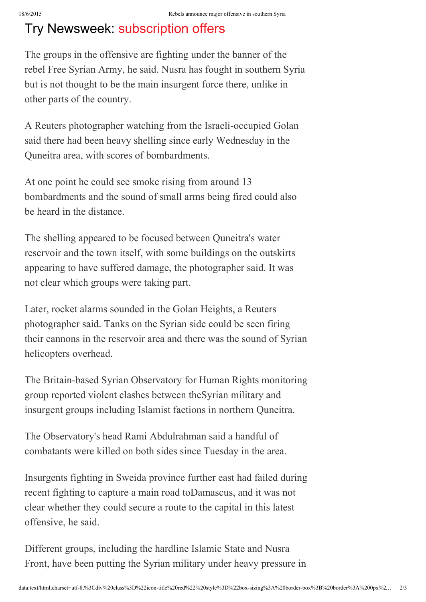### Try Newsweek: [subscription offers](http://www.newsweek.com/subscribe)

The groups in the offensive are fighting under the banner of the rebel Free Syrian Army, he said. Nusra has fought in southern Syria but is not thought to be the main insurgent force there, unlike in other parts of the country.

A Reuters photographer watching from the Israeli-occupied Golan said there had been heavy shelling since early Wednesday in the Quneitra area, with scores of bombardments.

At one point he could see smoke rising from around 13 bombardments and the sound of small arms being fired could also be heard in the distance.

The shelling appeared to be focused between Quneitra's water reservoir and the town itself, with some buildings on the outskirts appearing to have suffered damage, the photographer said. It was not clear which groups were taking part.

Later, rocket alarms sounded in the Golan Heights, a Reuters photographer said. Tanks on the Syrian side could be seen firing their cannons in the reservoir area and there was the sound of Syrian helicopters overhead.

The Britain-based Syrian Observatory for Human Rights monitoring group reported violent clashes between theSyrian military and insurgent groups including Islamist factions in northern Quneitra.

The Observatory's head Rami Abdulrahman said a handful of combatants were killed on both sides since Tuesday in the area.

Insurgents fighting in Sweida province further east had failed during recent fighting to capture a main road toDamascus, and it was not clear whether they could secure a route to the capital in this latest offensive, he said.

Different groups, including the hardline Islamic State and Nusra Front, have been putting the Syrian military under heavy pressure in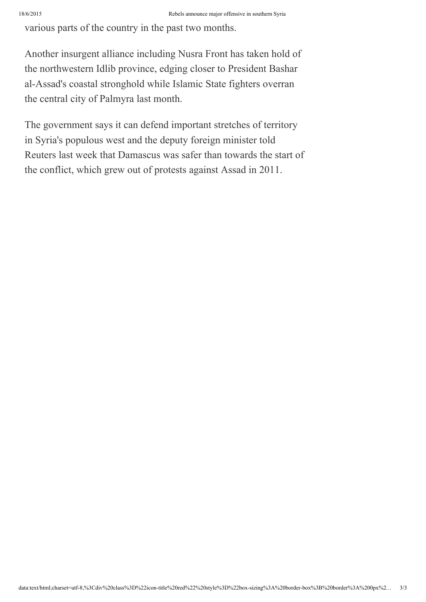various parts of the country in the past two months.

Another insurgent alliance including Nusra Front has taken hold of the northwestern Idlib province, edging closer to President Bashar al-Assad's coastal stronghold while Islamic State fighters overran the central city of Palmyra last month.

The government says it can defend important stretches of territory in Syria's populous west and the deputy foreign minister told Reuters last week that Damascus was safer than towards the start of the conflict, which grew out of protests against Assad in 2011.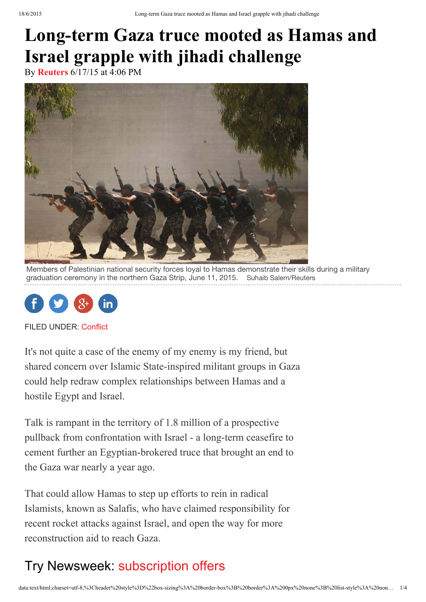# **Long-term Gaza truce mooted as Hamas and Israel grapple with jihadi challenge**

By **[Reuters](http://europe.newsweek.com/authors/reuters)** 6/17/15 at 4:06 PM



Members of Palestinian national security forces loyal to Hamas demonstrate their skills during a military graduation ceremony in the northern Gaza Strip, June 11, 2015. Suhaib Salem/Reuters



FILED UNDER: [Conflict](http://europe.newsweek.com/conflict)

It's not quite a case of the enemy of my enemy is my friend, but shared concern over Islamic State-inspired militant groups in Gaza could help redraw complex relationships between Hamas and a hostile Egypt and Israel.

Talk is rampant in the territory of 1.8 million of a prospective pullback from confrontation with Israel - a long-term ceasefire to cement further an Egyptian-brokered truce that brought an end to the Gaza war nearly a year ago.

That could allow Hamas to step up efforts to rein in radical Islamists, known as Salafis, who have claimed responsibility for recent rocket attacks against Israel, and open the way for more reconstruction aid to reach Gaza.

# Try Newsweek: [subscription offers](http://www.newsweek.com/subscribe)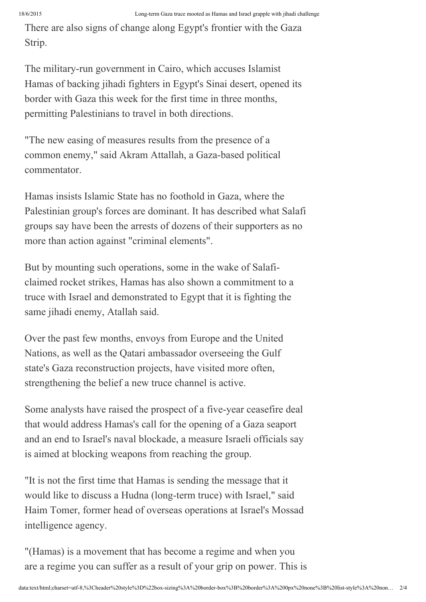There are also signs of change along Egypt's frontier with the Gaza Strip.

The military-run government in Cairo, which accuses Islamist Hamas of backing jihadi fighters in Egypt's Sinai desert, opened its border with Gaza this week for the first time in three months, permitting Palestinians to travel in both directions.

"The new easing of measures results from the presence of a common enemy," said Akram Attallah, a Gaza-based political commentator.

Hamas insists Islamic State has no foothold in Gaza, where the Palestinian group's forces are dominant. It has described what Salafi groups say have been the arrests of dozens of their supporters as no more than action against "criminal elements".

But by mounting such operations, some in the wake of Salaficlaimed rocket strikes, Hamas has also shown a commitment to a truce with Israel and demonstrated to Egypt that it is fighting the same jihadi enemy, Atallah said.

Over the past few months, envoys from Europe and the United Nations, as well as the Qatari ambassador overseeing the Gulf state's Gaza reconstruction projects, have visited more often, strengthening the belief a new truce channel is active.

Some analysts have raised the prospect of a five-year ceasefire deal that would address Hamas's call for the opening of a Gaza seaport and an end to Israel's naval blockade, a measure Israeli officials say is aimed at blocking weapons from reaching the group.

"It is not the first time that Hamas is sending the message that it would like to discuss a Hudna (long-term truce) with Israel," said Haim Tomer, former head of overseas operations at Israel's Mossad intelligence agency.

"(Hamas) is a movement that has become a regime and when you are a regime you can suffer as a result of your grip on power. This is